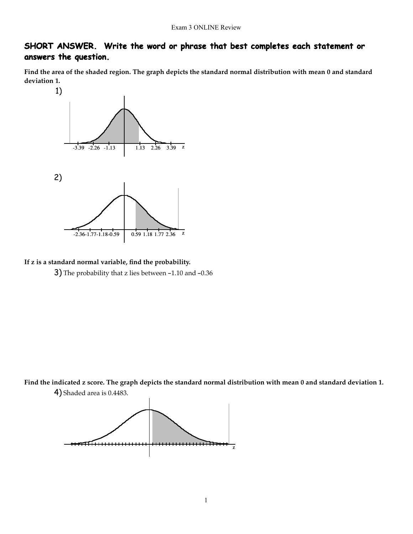# **SHORT ANSWER. Write the word or phrase that best completes each statement or answers the question.**

Find the area of the shaded region. The graph depicts the standard normal distribution with mean 0 and standard **deviation 1.**



**If z is a standard normal variable, find the probability.** 3) The probability that z lies between -1.10 and -0.36

Find the indicated z score. The graph depicts the standard normal distribution with mean 0 and standard deviation 1. 4) Shaded area is 0.4483.

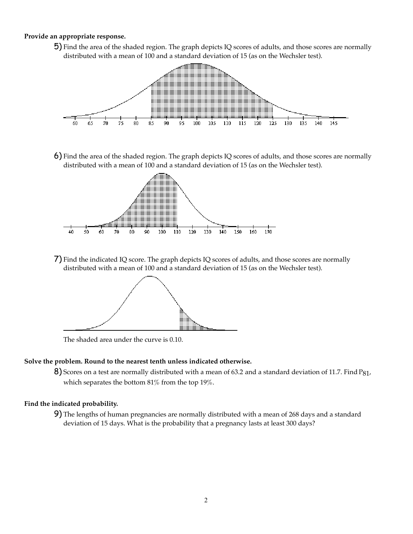#### **Provide an appropriate response.**

5) Find the area of the shaded region. The graph depicts IQ scores of adults, and those scores are normally distributed with a mean of 100 and a standard deviation of 15 (as on the Wechsler test).



6) Find the area of the shaded region. The graph depicts IQ scores of adults, and those scores are normally distributed with a mean of 100 and a standard deviation of 15 (as on the Wechsler test).



7) Find the indicated IQ score. The graph depicts IQ scores of adults, and those scores are normally distributed with a mean of 100 and a standard deviation of 15 (as on the Wechsler test).



The shaded area under the curve is 0.10.

#### **Solve the problem. Round to the nearest tenth unless indicated otherwise.**

8) Scores on a test are normally distributed with a mean of 63.2 and a standard deviation of 11.7. Find P81, which separates the bottom 81% from the top 19%.

### **Find the indicated probability.**

9) The lengths of human pregnancies are normally distributed with a mean of 268 days and a standard deviation of 15 days. What is the probability that a pregnancy lasts at least 300 days?